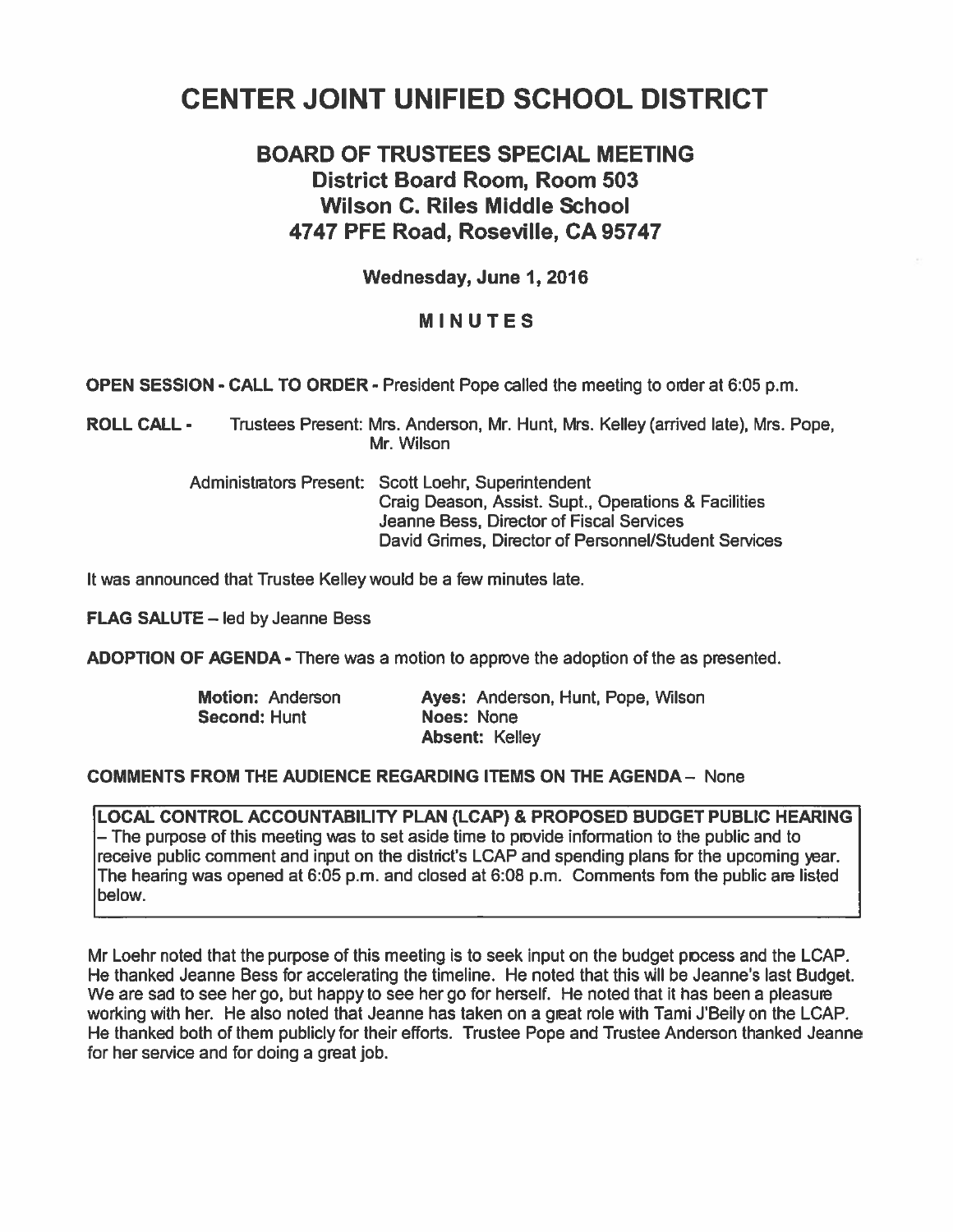# CENTER JOINT UNIFIED SCHOOL DISTRICT

## BOARD OF TRUSTEES SPECIAL MEETING District Board Room, Room 503 Wilson C. Riles Middle School 4747 PFE Road, Roseville, CA 95747

Wednesday, June 1, 2016

### MINUTES

OPEN SESSION - CALL TO ORDER - President Pope called the meeting to order at 6:05 p.m.

ROLL CALL - Trustees Present: Mrs. Anderson, Mr. Hunt, Mrs. Kelley (arrived late), Mrs. Pope, Mr. Wilson

> Administrators Present: Scott Loehr, Superintendent Craig Deason, Assist. Supt., Operations & Facilities Jeanne Bess, Director of Fiscal Services David Grimes, Director of Personnel/Student Services

It was announced that Trustee Kelley would be <sup>a</sup> few minutes late.

FLAG SALUTE — led by Jeanne Bess

ADOPTION OF AGENDA - There was <sup>a</sup> motion to approve the adoption of the as presented.

| Motion: Anderson | Ayes: Anderson, Hunt, Pope, Wilson |
|------------------|------------------------------------|
| Second: Hunt     | Noes: None                         |
|                  | <b>Absent: Kelley</b>              |

#### COMMENTS FROM THE AUDIENCE REGARDING ITEMS ON THE AGENDA— None

LOCAL CONTROL ACCOUNTABILITY PLAN (LCAP) & PROPOSED BUDGET PUBLIC HEARING — The purpose of this meeting was to set aside time to provide information to the public and to receive public comment and input on the district's LCAP and spending plans for the upcoming year. The hearing was opened at 6:05 p.m. and closed at 6:08 p.m. Comments torn the public are listed below.

Mr Loehr noted that the purpose of this meeting is to seek input on the budget process and the LCAP. He thanked Jeanne Bess for accelerating the timeline. He noted that this will be Jeanne's last Budget. We are sad to see her go, but happy to see her go for herself. He noted that it has been a pleasure working with her. He also noted that Jeanne has taken on a great role with Tami J'Beily on the LCAP. He thanked both of them publicly for their efforts. Trustee Pope and Trustee Anderson thanked Jeanne for her service and for doing <sup>a</sup> grea<sup>t</sup> job.